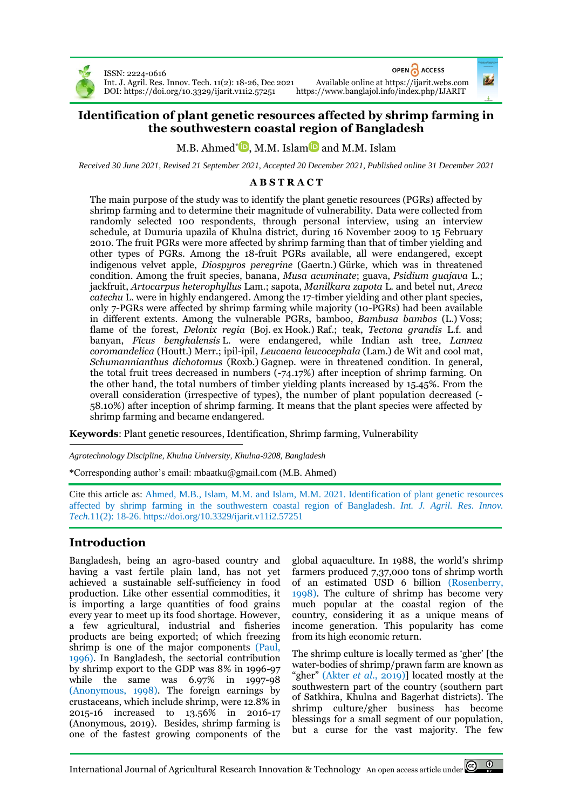

ISSN: 2224-0616 Int. J. Agril. Res. Innov. Tech. 11(2): 18-26, Dec 2021 Available online a[t https://ijarit.webs.com](http://ijarit.webs.com/) DOI: https://doi.org/10.3329/ijarit.v11i2.57251

OPEN ACCESS

# **Identification of plant genetic resources affected by shrimp farming in the southwestern coastal region of Bangladesh**

# M.B. Ahmed\*©[,](https://orcid.org/0000-0001-8074-2626) M.M. Islam© and M.M. Islam

*Received 30 June 2021, Revised 21 September 2021, Accepted 20 December 2021, Published online 31 December 2021*

### **A B S T R A C T**

The main purpose of the study was to identify the plant genetic resources (PGRs) affected by shrimp farming and to determine their magnitude of vulnerability. Data were collected from randomly selected 100 respondents, through personal interview, using an interview schedule, at Dumuria upazila of Khulna district, during 16 November 2009 to 15 February 2010. The fruit PGRs were more affected by shrimp farming than that of timber yielding and other types of PGRs. Among the 18-fruit PGRs available, all were endangered, except indigenous velvet apple, *Diospyros peregrine* (Gaertn.) Gürke, which was in threatened condition. Among the fruit species, banana, *Musa acuminate*; guava, *Psidium guajava* L.; jackfruit, *Artocarpus heterophyllus* Lam.; sapota, *Manilkara zapota* L. and betel nut, *Areca catechu* L. were in highly endangered. Among the 17-timber yielding and other plant species, only 7-PGRs were affected by shrimp farming while majority (10-PGRs) had been available in different extents. Among the vulnerable PGRs, bamboo, *Bambusa bambos* (L.) Voss; flame of the forest, *Delonix regia* (Boj. ex Hook.) Raf.; teak, *Tectona grandis* L.f. and banyan, *Ficus benghalensis* L. were endangered, while Indian ash tree, *Lannea coromandelica* (Houtt.) Merr.; ipil-ipil, *Leucaena leucocephala* (Lam.) de Wit and cool mat, *Schumannianthus dichotomus* (Roxb.) Gagnep. were in threatened condition. In general, the total fruit trees decreased in numbers (-74.17%) after inception of shrimp farming. On the other hand, the total numbers of timber yielding plants increased by 15.45%. From the overall consideration (irrespective of types), the number of plant population decreased (- 58.10%) after inception of shrimp farming. It means that the plant species were affected by shrimp farming and became endangered.

**Keywords**: Plant genetic resources, Identification, Shrimp farming, Vulnerability

*Agrotechnology Discipline, Khulna University, Khulna-9208, Bangladesh*

\*Corresponding author's email: mbaatku@gmail.com (M.B. Ahmed)

Cite this article as: Ahmed, M.B., Islam, M.M. and Islam, M.M. 2021. Identification of plant genetic resources affected by shrimp farming in the southwestern coastal region of Bangladesh. *Int. J. Agril. Res. Innov. Tech.*11(2): 18-26. <https://doi.org/10.3329/ijarit.v11i2.57251>

## **Introduction**

Bangladesh, being an agro-based country and having a vast fertile plain land, has not yet achieved a sustainable self-sufficiency in food production. Like other essential commodities, it is importing a large quantities of food grains every year to meet up its food shortage. However, a few agricultural, industrial and fisheries products are being exported; of which freezing shrimp is one of the major components (Paul, 1996). In Bangladesh, the sectorial contribution by shrimp export to the GDP was 8% in 1996-97 while the same was 6.97% in 1997-98 (Anonymous, 1998). The foreign earnings by crustaceans, which include shrimp, were 12.8% in 2015-16 increased to 13.56% in 2016-17 (Anonymous, 2019). Besides, shrimp farming is one of the fastest growing components of the

global aquaculture. In 1988, the world's shrimp farmers produced 7,37,000 tons of shrimp worth of an estimated USD 6 billion (Rosenberry, 1998). The culture of shrimp has become very much popular at the coastal region of the country, considering it as a unique means of income generation. This popularity has come from its high economic return.

The shrimp culture is locally termed as 'gher' [the water-bodies of shrimp/prawn farm are known as "gher" (Akter *et al*., 2019)] located mostly at the southwestern part of the country (southern part of Satkhira, Khulna and Bagerhat districts). The shrimp culture/gher business has become blessings for a small segment of our population, but a curse for the vast majority. The few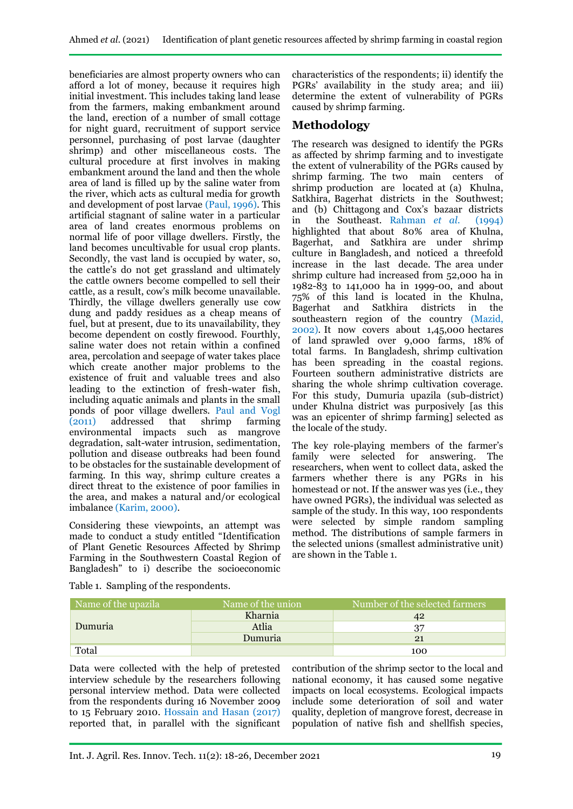beneficiaries are almost property owners who can afford a lot of money, because it requires high initial investment. This includes taking land lease from the farmers, making embankment around the land, erection of a number of small cottage for night guard, recruitment of support service personnel, purchasing of post larvae (daughter shrimp) and other miscellaneous costs. The cultural procedure at first involves in making embankment around the land and then the whole area of land is filled up by the saline water from the river, which acts as cultural media for growth and development of post larvae (Paul, 1996). This artificial stagnant of saline water in a particular area of land creates enormous problems on normal life of poor village dwellers. Firstly, the land becomes uncultivable for usual crop plants. Secondly, the vast land is occupied by water, so, the cattle's do not get grassland and ultimately the cattle owners become compelled to sell their cattle, as a result, cow's milk become unavailable. Thirdly, the village dwellers generally use cow dung and paddy residues as a cheap means of fuel, but at present, due to its unavailability, they become dependent on costly firewood. Fourthly, saline water does not retain within a confined area, percolation and seepage of water takes place which create another major problems to the existence of fruit and valuable trees and also leading to the extinction of fresh-water fish, including aquatic animals and plants in the small ponds of poor village dwellers. Paul and Vogl (2011) addressed that shrimp farming (2011) addressed that shrimp farming environmental impacts such as mangrove degradation, salt-water intrusion, sedimentation, pollution and disease outbreaks had been found to be obstacles for the sustainable development of farming. In this way, shrimp culture creates a direct threat to the existence of poor families in the area, and makes a natural and/or ecological imbalance (Karim, 2000).

Considering these viewpoints, an attempt was made to conduct a study entitled "Identification of Plant Genetic Resources Affected by Shrimp Farming in the Southwestern Coastal Region of Bangladesh" to i) describe the socioeconomic

characteristics of the respondents; ii) identify the PGRs' availability in the study area; and iii) determine the extent of vulnerability of PGRs caused by shrimp farming.

# **Methodology**

The research was designed to identify the PGRs as affected by shrimp farming and to investigate the extent of vulnerability of the PGRs caused by shrimp farming. The two main centers of shrimp production are located at (a) Khulna, Satkhira, Bagerhat districts in the Southwest; and (b) Chittagong and Cox's bazaar districts in the Southeast. Rahman *et al.* (1994) highlighted that about 80% area of Khulna, Bagerhat, and Satkhira are under shrimp culture in Bangladesh, and noticed a threefold increase in the last decade. The area under shrimp culture had increased from 52,000 ha in 1982-83 to 141,000 ha in 1999-00, and about 75% of this land is located in the Khulna, Bagerhat and Satkhira districts in the southeastern region of the country (Mazid, 2002). It now covers about 1,45,000 hectares of land sprawled over 9,000 farms, 18% of total farms. In Bangladesh, shrimp cultivation has been spreading in the coastal regions. Fourteen southern administrative districts are sharing the whole shrimp cultivation coverage. For this study, Dumuria upazila (sub-district) under Khulna district was purposively [as this was an epicenter of shrimp farming] selected as the locale of the study.

The key role-playing members of the farmer's family were selected for answering. The researchers, when went to collect data, asked the farmers whether there is any PGRs in his homestead or not. If the answer was yes (i.e., they have owned PGRs), the individual was selected as sample of the study. In this way, 100 respondents were selected by simple random sampling method. The distributions of sample farmers in the selected unions (smallest administrative unit) are shown in the Table 1.

|  |  |  | Table 1. Sampling of the respondents. |
|--|--|--|---------------------------------------|
|--|--|--|---------------------------------------|

| Name of the upazila | Name of the union | Number of the selected farmers |  |  |
|---------------------|-------------------|--------------------------------|--|--|
|                     | Kharnia           |                                |  |  |
| Dumuria             | Atlia             |                                |  |  |
|                     | Dumuria           |                                |  |  |
| Total               |                   | 100                            |  |  |

Data were collected with the help of pretested interview schedule by the researchers following personal interview method. Data were collected from the respondents during 16 November 2009 to 15 February 2010. Hossain and Hasan (2017) reported that, in parallel with the significant

contribution of the shrimp sector to the local and national economy, it has caused some negative impacts on local ecosystems. Ecological impacts include some deterioration of soil and water quality, depletion of mangrove forest, decrease in population of native fish and shellfish species,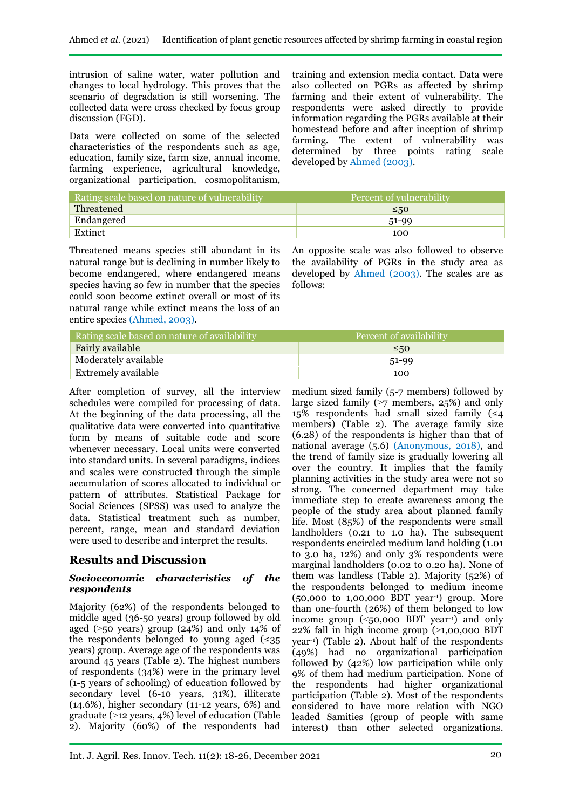intrusion of saline water, water pollution and changes to local hydrology. This proves that the scenario of degradation is still worsening. The collected data were cross checked by focus group discussion (FGD).

Data were collected on some of the selected characteristics of the respondents such as age, education, family size, farm size, annual income, farming experience, agricultural knowledge, organizational participation, cosmopolitanism, training and extension media contact. Data were also collected on PGRs as affected by shrimp farming and their extent of vulnerability. The respondents were asked directly to provide information regarding the PGRs available at their homestead before and after inception of shrimp farming. The extent of vulnerability was determined by three points rating scale developed by Ahmed (2003).

| Rating scale based on nature of vulnerability | Percent of vulnerability |
|-----------------------------------------------|--------------------------|
| Threatened                                    | $\leq 50$                |
| Endangered                                    | $51-99$                  |
| Extinct                                       | 100                      |

Threatened means species still abundant in its natural range but is declining in number likely to become endangered, where endangered means species having so few in number that the species could soon become extinct overall or most of its natural range while extinct means the loss of an entire species (Ahmed, 2003).

An opposite scale was also followed to observe the availability of PGRs in the study area as developed by Ahmed (2003). The scales are as follows:

| Rating scale based on nature of availability | Percent of availability |  |  |  |
|----------------------------------------------|-------------------------|--|--|--|
| Fairly available                             | $\leq 50$               |  |  |  |
| Moderately available                         | 51-99                   |  |  |  |
| Extremely available                          | 100                     |  |  |  |

After completion of survey, all the interview schedules were compiled for processing of data. At the beginning of the data processing, all the qualitative data were converted into quantitative form by means of suitable code and score whenever necessary. Local units were converted into standard units. In several paradigms, indices and scales were constructed through the simple accumulation of scores allocated to individual or pattern of attributes. Statistical Package for Social Sciences (SPSS) was used to analyze the data. Statistical treatment such as number, percent, range, mean and standard deviation were used to describe and interpret the results.

# **Results and Discussion**

### *Socioeconomic characteristics of the respondents*

Majority (62%) of the respondents belonged to middle aged (36-50 years) group followed by old aged ( $>50$  years) group (24%) and only 14% of the respondents belonged to young aged  $(\leq 35)$ years) group. Average age of the respondents was around 45 years (Table 2). The highest numbers of respondents (34%) were in the primary level (1-5 years of schooling) of education followed by secondary level (6-10 years, 31%), illiterate (14.6%), higher secondary (11-12 years, 6%) and graduate  $(>12 \text{ years}, 4\%)$  level of education (Table 2). Majority (60%) of the respondents had

medium sized family (5-7 members) followed by large sized family  $($ >7 members, 25%) and only 15% respondents had small sized family  $(≤4)$ members) (Table 2). The average family size (6.28) of the respondents is higher than that of national average (5.6) (Anonymous, 2018), and the trend of family size is gradually lowering all over the country. It implies that the family planning activities in the study area were not so strong. The concerned department may take immediate step to create awareness among the people of the study area about planned family life. Most (85%) of the respondents were small landholders (0.21 to 1.0 ha). The subsequent respondents encircled medium land holding (1.01 to 3.0 ha, 12%) and only 3% respondents were marginal landholders (0.02 to 0.20 ha). None of them was landless (Table 2). Majority (52%) of the respondents belonged to medium income (50,000 to 1,00,000 BDT year-1) group. More than one-fourth (26%) of them belonged to low income group  $(<50,000$  BDT year<sup>-1</sup>) and only  $22\%$  fall in high income group ( $>1,00,000$  BDT year-1) (Table 2). About half of the respondents (49%) had no organizational participation followed by (42%) low participation while only 9% of them had medium participation. None of the respondents had higher organizational participation (Table 2). Most of the respondents considered to have more relation with NGO leaded Samities (group of people with same interest) than other selected organizations.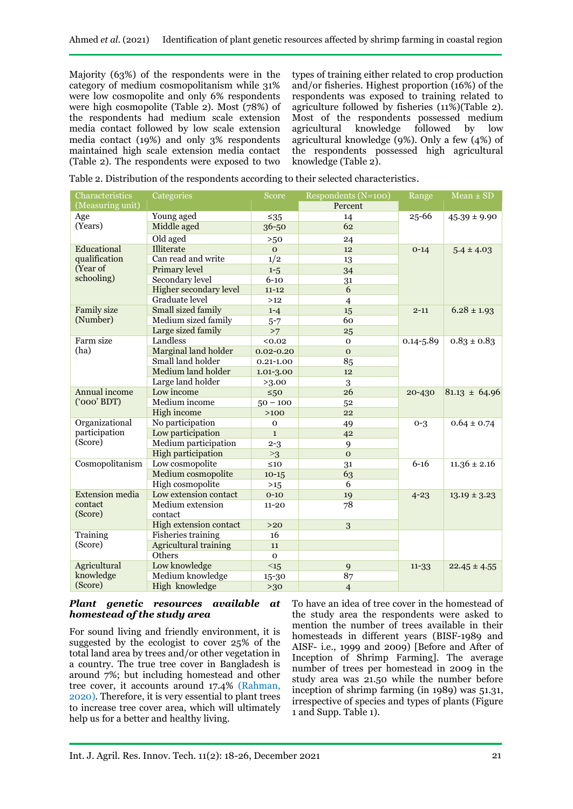Majority (63%) of the respondents were in the category of medium cosmopolitanism while 31% were low cosmopolite and only 6% respondents were high cosmopolite (Table 2). Most (78%) of the respondents had medium scale extension media contact followed by low scale extension media contact (19%) and only 3% respondents maintained high scale extension media contact (Table 2). The respondents were exposed to two

types of training either related to crop production and/or fisheries. Highest proportion (16%) of the respondents was exposed to training related to agriculture followed by fisheries  $(11\%)$  (Table 2). Most of the respondents possessed medium agricultural knowledge followed by low agricultural knowledge (9%). Only a few (4%) of the respondents possessed high agricultural knowledge (Table 2).

Table 2. Distribution of the respondents according to their selected characteristics.

| Characteristics        | Categories                    | Score         | Respondents (N=100) | Range         | $Mean \pm SD$     |  |
|------------------------|-------------------------------|---------------|---------------------|---------------|-------------------|--|
| (Measuring unit)       |                               |               | Percent             |               |                   |  |
| Age                    | Young aged                    | $≤35$         | 14                  | 25-66         | $45.39 \pm 9.90$  |  |
| (Years)                | Middle aged                   | 36-50         | 62                  |               |                   |  |
|                        | Old aged                      | >50           | 24                  |               |                   |  |
| Educational            | Illiterate                    | $\mathbf{O}$  | 12                  | $0 - 14$      | $5.4 \pm 4.03$    |  |
| qualification          | Can read and write            | 1/2           | 13                  |               |                   |  |
| (Year of               | Primary level                 | $1 - 5$       | 34                  |               |                   |  |
| schooling)             | <b>Secondary level</b>        | $6 - 10$      | 31                  |               |                   |  |
|                        | <b>Higher secondary level</b> | $11 - 12$     | 6                   |               |                   |  |
|                        | <b>Graduate</b> level         | $>12$         | $\overline{4}$      |               |                   |  |
| <b>Family size</b>     | Small sized family            | $1 - 4$       | 15                  | $2 - 11$      | $6.28 \pm 1.93$   |  |
| (Number)               | Medium sized family           | $5 - 7$       | 60                  |               |                   |  |
|                        | Large sized family            | >7            | 25                  |               |                   |  |
| Farm size              | Landless                      | 0.02          | $\mathbf 0$         | $0.14 - 5.89$ | $0.83 \pm 0.83$   |  |
| (ha)                   | Marginal land holder          | $0.02 - 0.20$ | $\mathbf{O}$        |               |                   |  |
|                        | Small land holder             | $0.21 - 1.00$ | 85                  |               |                   |  |
|                        | Medium land holder            | 1.01-3.00     | 12                  |               |                   |  |
|                        | Large land holder             | >3.00         | 3                   |               |                   |  |
| <b>Annual income</b>   | Low income                    | $\leq 50$     | 26                  | 20-430        | $81.13 \pm 64.96$ |  |
| $(000'$ BDT)           | Medium income                 | $50 - 100$    | 52                  |               |                   |  |
|                        | High income                   | $>100$        | 22                  |               |                   |  |
| Organizational         | No participation              | $\mathbf{o}$  | 49                  | $0 - 3$       | $0.64 \pm 0.74$   |  |
| participation          | Low participation             | $\mathbf{1}$  | 42                  |               |                   |  |
| (Score)                | Medium participation          | $2 - 3$       | 9                   |               |                   |  |
|                        | <b>High participation</b>     | >3            | $\mathbf{O}$        |               |                   |  |
| Cosmopolitanism        | Low cosmopolite               | $\leq$ 10     | 31                  | $6 - 16$      | $11.36 \pm 2.16$  |  |
|                        | Medium cosmopolite            | $10-15$       | 63                  |               |                   |  |
|                        | <b>High cosmopolite</b>       | $>15$         | 6                   |               |                   |  |
| <b>Extension</b> media | Low extension contact         | $0 - 10$      | 19                  | $4 - 23$      | $13.19 \pm 3.23$  |  |
| contact                | Medium extension              | $11 - 20$     | 78                  |               |                   |  |
| (Score)                | contact                       |               |                     |               |                   |  |
|                        | <b>High extension contact</b> | $>20$         | 3                   |               |                   |  |
| Training               | <b>Fisheries</b> training     | 16            |                     |               |                   |  |
| (Score)                | <b>Agricultural training</b>  | 11            |                     |               |                   |  |
|                        | Others                        | $\mathbf{O}$  |                     |               |                   |  |
| <b>Agricultural</b>    | Low knowledge                 | $\leq 15$     | 9                   | $11 - 33$     | $22.45 \pm 4.55$  |  |
| knowledge              | Medium knowledge              | $15 - 30$     | 87                  |               |                   |  |
| (Score)                | High knowledge                | >30           | $\overline{4}$      |               |                   |  |

### *Plant genetic resources available at homestead of the study area*

For sound living and friendly environment, it is suggested by the ecologist to cover 25% of the total land area by trees and/or other vegetation in a country. The true tree cover in Bangladesh is around 7%; but including homestead and other tree cover, it accounts around 17.4% (Rahman, 2020). Therefore, it is very essential to plant trees to increase tree cover area, which will ultimately help us for a better and healthy living.

To have an idea of tree cover in the homestead of the study area the respondents were asked to mention the number of trees available in their homesteads in different years (BISF-1989 and AISF- i.e., 1999 and 2009) [Before and After of Inception of Shrimp Farming]. The average number of trees per homestead in 2009 in the study area was 21.50 while the number before inception of shrimp farming (in 1989) was 51.31, irrespective of species and types of plants (Figure 1 and Supp. Table 1).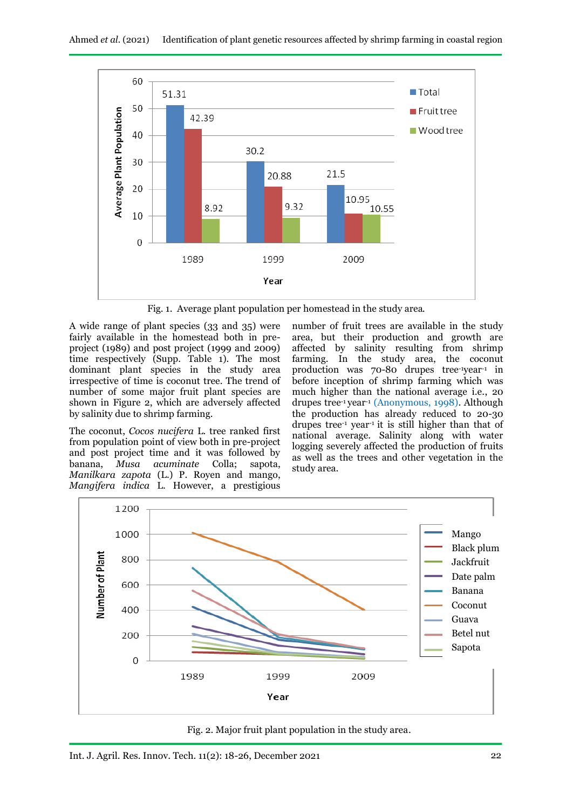

Fig. 1. Average plant population per homestead in the study area.

A wide range of plant species (33 and 35) were fairly available in the homestead both in preproject (1989) and post project (1999 and 2009) time respectively (Supp. Table 1). The most dominant plant species in the study area irrespective of time is coconut tree. The trend of number of some major fruit plant species are shown in Figure 2, which are adversely affected by salinity due to shrimp farming.

The coconut, *Cocos nucifera* L. tree ranked first from population point of view both in pre-project and post project time and it was followed by banana, *Musa acuminate* Colla; sapota, *Manilkara zapota* (L.) P. Royen and mango, *Mangifera indica* L. However, a prestigious

number of fruit trees are available in the study area, but their production and growth are affected by salinity resulting from shrimp farming. In the study area, the coconut production was 70-80 drupes tree-1year-1 in before inception of shrimp farming which was much higher than the national average i.e., 20 drupes tree<sup>-1</sup> year<sup>-1</sup> (Anonymous, 1998). Although the production has already reduced to 20-30 drupes tree-1 year-1 it is still higher than that of national average. Salinity along with water logging severely affected the production of fruits as well as the trees and other vegetation in the study area.



Fig. 2. Major fruit plant population in the study area.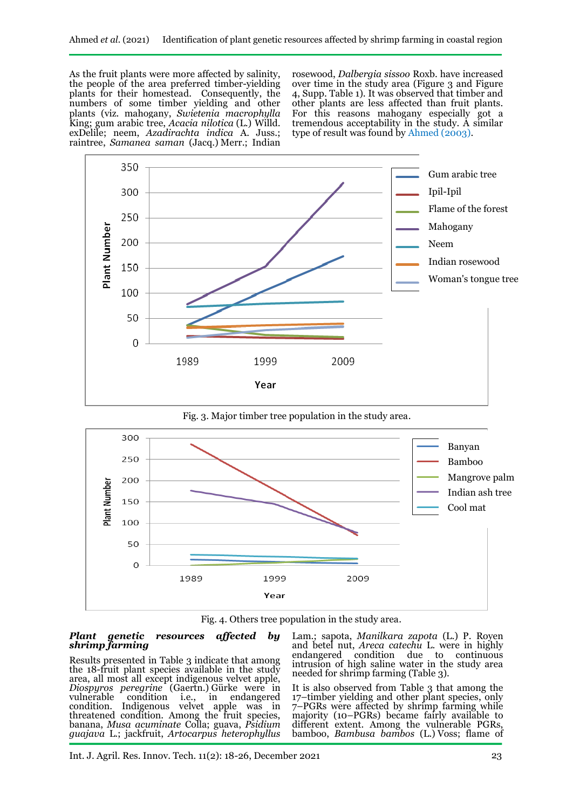As the fruit plants were more affected by salinity, the people of the area preferred timber-yielding plants for their homestead. Consequently, the numbers of some timber yielding and other plants (viz. mahogany, *Swietenia macrophylla* King; gum arabic tree, *Acacia nilotica* (L.) Willd. exDelile; neem, *Azadirachta indica* A. Juss.; raintree, *Samanea saman* (Jacq.) Merr.; Indian

rosewood, *Dalbergia sissoo* Roxb. have increased over time in the study area (Figure 3 and Figure 4, Supp. Table 1). It was observed that timber and other plants are less affected than fruit plants. For this reasons mahogany especially got a tremendous acceptability in the study. A similar type of result was found by Ahmed (2003).





Fig. 4. Others tree population in the study area.

#### *Plant genetic resources affected by shrimp farming*

Results presented in Table 3 indicate that among the 18-fruit plant species available in the study area, all most all except indigenous velvet apple, *Diospyros peregrine* (Gaertn.) Gürke were in vulnerable condition i.e., in endangered condition. Indigenous velvet apple was in threatened condition. Among the fruit species, banana, *Musa acuminate* Colla; guava, *Psidium guajava* L.; jackfruit, *Artocarpus heterophyllus*

Lam.; sapota, *Manilkara zapota* (L.) P. Royen and betel nut, *Areca catechu* L. were in highly endangered condition due to continuous intrusion of high saline water in the study area needed for shrimp farming (Table 3).

It is also observed from Table 3 that among the 17–timber yielding and other plant species, only 7–PGRs were affected by shrimp farming while majority (10–PGRs) became fairly available to different extent. Among the vulnerable PGRs, bamboo, *Bambusa bambos* (L.) Voss; flame of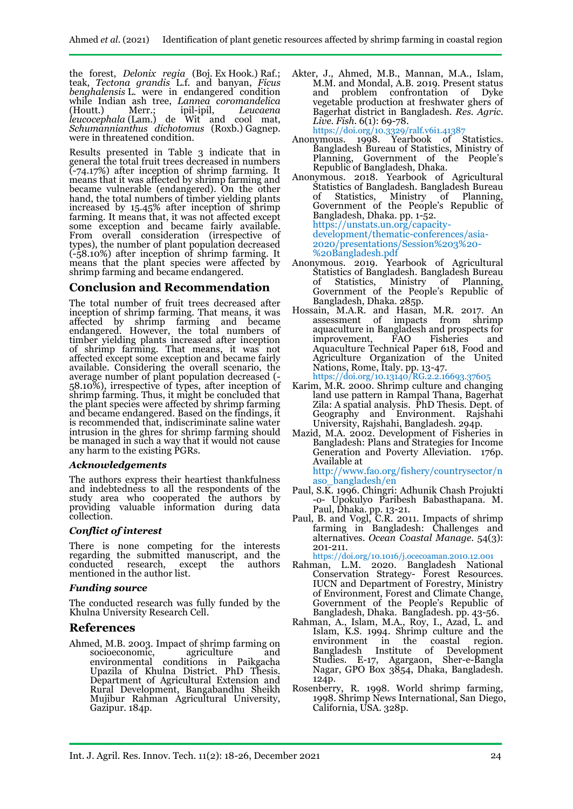the forest, *Delonix regia* (Boj. Ex Hook.) Raf.; teak, *Tectona grandis* L.f. and banyan, *Ficus benghalensis* L. were in endangered condition while Indian ash tree, *Lannea coromandelica* (Houtt.) Merr.; ipil-ipil, *Leucaena leucocephala* (Lam.) de Wit and cool mat, *Schumannianthus dichotomus* (Roxb.) Gagnep. were in threatened condition.

Results presented in Table 3 indicate that in general the total fruit trees decreased in numbers (-74.17%) after inception of shrimp farming. It means that it was affected by shrimp farming and became vulnerable (endangered). On the other hand, the total numbers of timber yielding plants increased by 15.45% after inception of shrimp farming. It means that, it was not affected except some exception and became fairly available. From overall consideration (irrespective of types), the number of plant population decreased (-58.10%) after inception of shrimp farming. It means that the plant species were affected by shrimp farming and became endangered.

## **Conclusion and Recommendation**

The total number of fruit trees decreased after inception of shrimp farming. That means, it was affected by shrimp farming and became endangered. However, the total numbers of timber yielding plants increased after inception of shrimp farming. That means, it was not affected except some exception and became fairly available. Considering the overall scenario, the average number of plant population decreased (- 58.10%), irrespective of types, after inception of shrimp farming. Thus, it might be concluded that the plant species were affected by shrimp farming and became endangered. Based on the findings, it is recommended that, indiscriminate saline water intrusion in the ghres for shrimp farming should be managed in such a way that it would not cause any harm to the existing PGRs.

### *Acknowledgements*

The authors express their heartiest thankfulness and indebtedness to all the respondents of the study area who cooperated the authors by providing valuable information during data collection.

### *Conflict of interest*

There is none competing for the interests regarding the submitted manuscript, and the conducted research, except the authors mentioned in the author list.

### *Funding source*

The conducted research was fully funded by the Khulna University Research Cell.

## **References**

Ahmed, M.B. 2003. Impact of shrimp farming on socioeconomic. agriculture and socioeconomic,<br>environmental conditions in Paikgacha Upazila of Khulna District. PhD Thesis. Department of Agricultural Extension and Rural Development, Bangabandhu Sheikh Mujibur Rahman Agricultural University, Gazipur. 184p.

- Akter, J., Ahmed, M.B., Mannan, M.A., Islam, M.M. and Mondal, A.B. 2019. Present status and problem confrontation of Dyke vegetable production at freshwater ghers of Bagerhat district in Bangladesh. *Res. Agric. Live. Fish.* 6(1): 69-78. https://doi.org/10.3329/ralf.v6i1.41387
- Anonymous. 1998. Yearbook of Statistics. Bangladesh Bureau of Statistics, Ministry of Planning, Government of the People's Republic of Bangladesh, Dhaka.
- Anonymous. 2018. Yearbook of Agricultural Statistics of Bangladesh. Bangladesh Bureau of Statistics, Ministry of Planning, Government of the People's Republic of Bangladesh, Dhaka. pp. 1-52. https://unstats.un.org/capacitydevelopment/thematic-conferences/asia-2020/presentations/Session%203%20- %20Bangladesh.pdf
- Anonymous. 2019. Yearbook of Agricultural Statistics of Bangladesh. Bangladesh Bureau of Statistics, Ministry of Planning, Government of the People's Republic of Bangladesh, Dhaka. 285p.
- Hossain, M.A.R. and Hasan, M.R. 2017. An assessment of impacts from shrimp aquaculture in Bangladesh and prospects for<br>improvement, FAO Fisheries and improvement, FAO Fisheries and Aquaculture Technical Paper 618, Food and Agriculture Organization of the United Nations, Rome, Italy. pp. 13-47. https://doi.org[/10.13140/RG.2.2.16693.37605](http://dx.doi.org/10.13140/RG.2.2.16693.37605)
- Karim, M.R. 2000. Shrimp culture and changing land use pattern in Rampal Thana, Bagerhat Zila: A spatial analysis. PhD Thesis. Dept. of Geography and Environment. Rajshahi University, Rajshahi, Bangladesh. 294p.
- Mazid, M.A. 2002. Development of Fisheries in Bangladesh: Plans and Strategies for Income Generation and Poverty Alleviation. 176p. Available at

http://www.fao.org/fishery/countrysector/n aso\_bangladesh/en

- Paul, S.K. 1996. Chingri: Adhunik Chash Projukti -o- Upokulyo Paribesh Babasthapana. M. Paul, Dhaka. pp. 13-21.
- Paul, B. and Vogl, C.R. 2011. Impacts of shrimp farming in Bangladesh: Challenges and alternatives. *Ocean Coastal Manage.* 54(3): 201-211.

https://doi.org[/10.1016/j.ocecoaman.2010.12.001](http://dx.doi.org/10.1016/j.ocecoaman.2010.12.001)

- Rahman, L.M. 2020. Bangladesh National Conservation Strategy- Forest Resources. IUCN and Department of Forestry, Ministry of Environment, Forest and Climate Change, Government of the People's Republic of Bangladesh, Dhaka. Bangladesh. pp. 43-56.
- Rahman, A., Islam, M.A., Roy, I., Azad, L. and Islam, K.S. 1994. Shrimp culture and the environment in the coastal region. Bangladesh Institute Studies. E-17, Agargaon, Sher-e-Bangla Nagar, GPO Box 3854, Dhaka, Bangladesh. 124p.
- Rosenberry, R. 1998. World shrimp farming, 1998. Shrimp News International, San Diego, California, USA. 328p.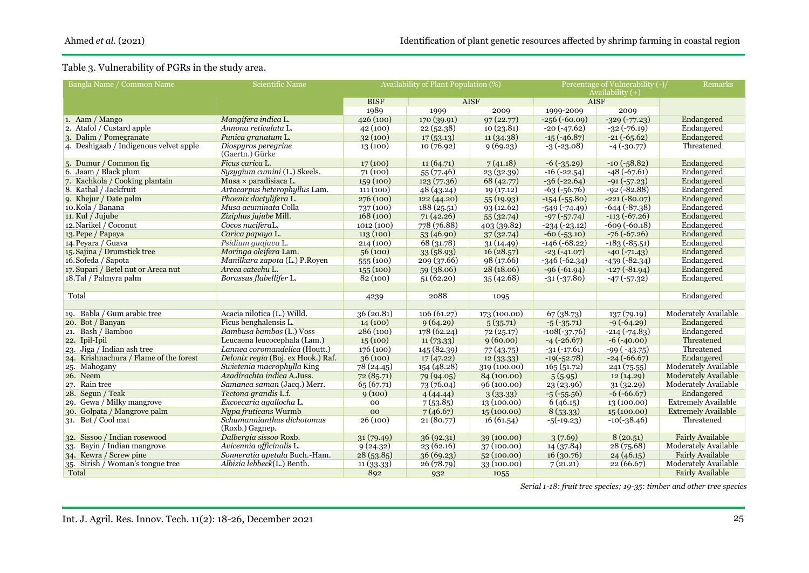# Table 3. Vulnerability of PGRs in the study area.

| Bangla Name / Common Name              | Scientific Name                    | Availability of Plant Population (%) |             |              | Percentage of Vulnerability (-)/  | Remarks            |                            |
|----------------------------------------|------------------------------------|--------------------------------------|-------------|--------------|-----------------------------------|--------------------|----------------------------|
|                                        |                                    | <b>BISF</b>                          | <b>AISF</b> |              | Availability $(+)$<br><b>AISF</b> |                    |                            |
|                                        |                                    | 1989                                 | 1999        | 2009         | 1999-2009                         | 2009               |                            |
| 1. Aam / Mango                         | Mangifera indica L.                | 426(100)                             | 170(39.91)  | 97(22.77)    | $-256(-60.09)$                    | $-329(-77.23)$     | Endangered                 |
| 2. Atafol / Custard apple              | Annona reticulata L.               | 42(100)                              | 22(52.38)   | 10(23.81)    | $-20(-47.62)$                     | $-32(-76.19)$      | Endangered                 |
| 3. Dalim / Pomegranate                 | Punica granatum L.                 | 32(100)                              | 17(53.13)   | 11(34.38)    | $-15(-46.87)$                     | $-21(-65.62)$      | Endangered                 |
| 4. Deshigaab / Indigenous velvet apple | Diospyros peregrine                | 13(100)                              | 10(76.92)   | 9(69.23)     | $-3(-23.08)$                      | $-4$ $(-30.77)$    | Threatened                 |
|                                        | (Gaertn.) Gürke                    |                                      |             |              |                                   |                    |                            |
| 5. Dumur / Common fig.                 | Ficus carica L.                    | 17(100)                              | 11(64.71)   | 7(41.18)     | $-6$ $(-35.29)$                   | $-10(-58.82)$      | Endangered                 |
| 6. Jaam / Black plum                   | Syzygium cumini (L.) Skeels.       | 71(100)                              | 55(77.46)   | 23 (32.39)   | $-16(-22.54)$                     | $-48(-67.61)$      | Endangered                 |
| 7. Kachkola / Cooking plantain         | Musa $\times$ paradisiaca L.       | 159(100)                             | 123(77.36)  | 68 (42.77)   | $-36(-22.64)$                     | $-91(-57.23)$      | Endangered                 |
| 8. Kathal / Jackfruit                  | Artocarpus heterophyllus Lam.      | 111(100)                             | 48(43.24)   | 19(17.12)    | $-63(-56.76)$                     | $-92(-82.88)$      | Endangered                 |
| 9. Khejur / Date palm                  | Phoenix dactulifera L.             | 276(100)                             | 122 (44.20) | 55(19.93)    | $-154$ $(-55.80)$                 | $-221(-80.07)$     | Endangered                 |
| 10.Kola / Banana                       | Musa acuminata Colla               | 737(100)                             | 188(25.51)  | 93(12.62)    | $-549(-74.49)$                    | $-644(-87.38)$     | Endangered                 |
| 11. Kul / Jujube                       | Ziziphus jujube Mill.              | 168(100)                             | 71(42.26)   | 55(32.74)    | $-97(-57.74)$                     | $-113(-67.26)$     | Endangered                 |
| 12. Narikel / Coconut                  | Cocos nuciferaL.                   | 1012(100)                            | 778 (76.88) | 403 (39.82)  | $-234(-23.12)$                    | $-609(-60.18)$     | Endangered                 |
| 13. Pepe / Papaya                      | Carica papaya L.                   | 113(100)                             | 53 (46.90)  | 37(32.74)    | $-60$ $(-53.10)$                  | $-76(-67.26)$      | Endangered                 |
| 14. Peyara / Guava                     | Psidium quajava L.                 | 214(100)                             | 68 (31.78)  | 31(14.49)    | $-146(-68.22)$                    | $-183(-85.51)$     | Endangered                 |
| 15. Sajina / Drumstick tree            | Moringa oleifera Lam.              | 56(100)                              | 33(58.93)   | 16(28.57)    | $-23(-41.07)$                     | $-40$ $(-71.43)$   | Endangered                 |
| 16. Sofeda / Sapota                    | Manilkara zapota (L.) P.Royen      | 555(100)                             | 209 (37.66) | 98 (17.66)   | $-346(-62.34)$                    | $-459(-82.34)$     | Endangered                 |
| 17. Supari / Betel nut or Areca nut    | Areca catechu L.                   | 155(100)                             | 59(38.06)   | 28(18.06)    | $-96(-61.94)$                     | $-127(-81.94)$     | Endangered                 |
| 18.Tal / Palmyra palm                  | Borassus flabellifer L.            | 82(100)                              | 51(62.20)   | 35(42.68)    | $-31(-37.80)$                     | $-47$ ( $-57.32$ ) | Endangered                 |
|                                        |                                    |                                      |             |              |                                   |                    |                            |
| Total                                  |                                    | 4239                                 | 2088        | 1095         |                                   |                    | Endangered                 |
|                                        |                                    |                                      |             |              |                                   |                    |                            |
| 19. Babla / Gum arabic tree            | Acacia nilotica (L.) Willd.        | 36(20.81)                            | 106(61.27)  | 173 (100.00) | 67(38.73)                         | 137(79.19)         | Moderately Available       |
| 20. Bot / Banyan                       | Ficus benghalensis L.              | 14(100)                              | 9(64.29)    | 5(35.71)     | $-5$ ( $-35.71$ )                 | $-9(-64.29)$       | Endangered                 |
| 21. Bash / Bamboo                      | Bambusa bambos (L.) Voss           | 286(100)                             | 178 (62.24) | 72(25.17)    | $-108(-37.76)$                    | $-214(-74.83)$     | Endangered                 |
| 22. Ipil-Ipil                          | Leucaena leucocephala (Lam.)       | 15(100)                              | 11(73.33)   | 9(60.00)     | $-4$ ( $-26.67$ )                 | $-6(-40.00)$       | Threatened                 |
| 23. Jiga / Indian ash tree             | Lannea coromandelica (Houtt.)      | 176(100)                             | 145 (82.39) | 77 (43.75)   | $-31(-17.61)$                     | $-99$ ( $-43.75$ ) | Threatened                 |
| 24. Krishnachura / Flame of the forest | Delonix regia (Boj. ex Hook.) Raf. | 36(100)                              | 17(47.22)   | 12(33.33)    | $-19(-52.78)$                     | $-24(-66.67)$      | Endangered                 |
| 25. Mahogany                           | Swietenia macrophylla King         | 78 (24.45)                           | 154 (48.28) | 319(100.00)  | 165(51.72)                        | 241(75.55)         | Moderately Available       |
| 26. Neem                               | Azadirachta indica A.Juss.         | 72 (85.71)                           | 79 (94.05)  | 84 (100.00)  | 5(5.95)                           | 12(14.29)          | Moderately Available       |
| 27. Rain tree                          | Samanea saman (Jacq.) Merr.        | 65(67.71)                            | 73 (76.04)  | 96 (100.00)  | 23 (23.96)                        | 31(32.29)          | Moderately Available       |
| 28. Segun / Teak                       | Tectona grandis L.f.               | 9(100)                               | 4(44.44)    | 3(33.33)     | $-5(-55.56)$                      | $-6(-66.67)$       | Endangered                 |
| 29. Gewa / Milky mangrove              | Excoecaria agallocha L.            | 00                                   | 7(53.85)    | 13(100.00)   | 6(46.15)                          | 13(100.00)         | <b>Extremely Available</b> |
| 30. Golpata / Mangrove palm            | Nypa fruticans Wurmb               | 0 <sub>0</sub>                       | 7(46.67)    | 15(100.00)   | 8(53.33)                          | 15(100.00)         | <b>Extremely Available</b> |
| 31. Bet / Cool mat                     | Schumannianthus dichotomus         | 26(100)                              | 21 (80.77)  | 16(61.54)    | $-5(-19.23)$                      | $-10(-38.46)$      | Threatened                 |
|                                        | (Roxb.) Gagnep.                    |                                      |             |              |                                   |                    |                            |
| 32. Sissoo / Indian rosewood           | Dalbergia sissoo Roxb.             | 31(79.49)                            | 36(92.31)   | 39(100.00)   | 3(7.69)                           | 8(20.51)           | <b>Fairly Available</b>    |
| 33. Bayin / Indian mangrove            | Avicennia officinalis L.           | 9(24.32)                             | 23 (62.16)  | 37(100.00)   | 14(37.84)                         | 28 (75.68)         | Moderately Available       |
| 34. Kewra / Screw pine                 | Sonneratia apetala Buch.-Ham.      | 28(53.85)                            | 36(69.23)   | 52 (100.00)  | 16(30.76)                         | 24(46.15)          | <b>Fairly Available</b>    |
| 35. Sirish / Woman's tongue tree       | Albizia lebbeck(L.) Benth.         | 11(33.33)                            | 26 (78.79)  | 33(100.00)   | 7(21.21)                          | 22(66.67)          | Moderately Available       |
| Total                                  |                                    | 892                                  | 932         | 1055         |                                   |                    | <b>Fairly Available</b>    |

*Serial 1-18: fruit tree species; 19-35: timber and other tree species*